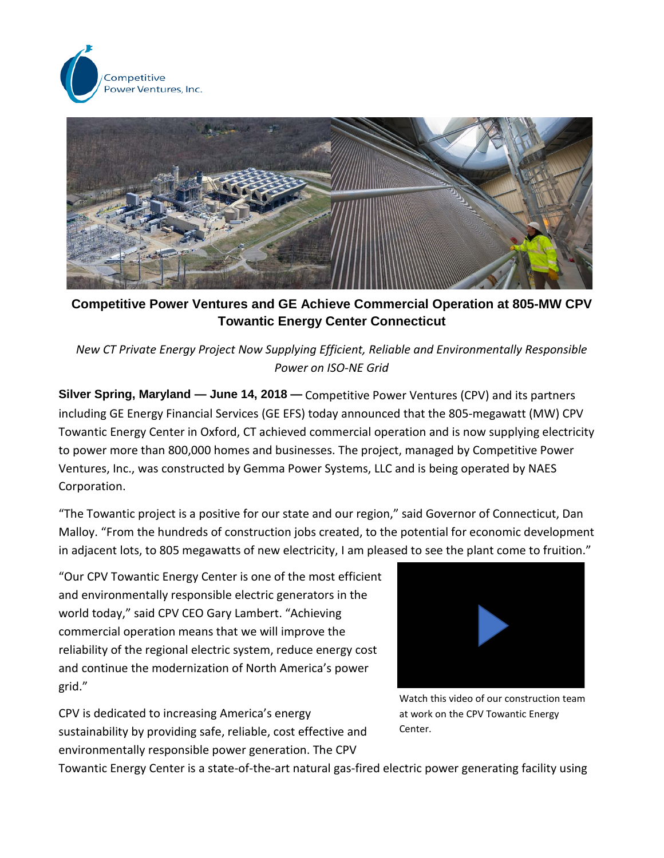



**Competitive Power Ventures and GE Achieve Commercial Operation at 805-MW CPV Towantic Energy Center Connecticut**

*New CT Private Energy Project Now Supplying Efficient, Reliable and Environmentally Responsible Power on ISO-NE Grid*

**Silver Spring, Maryland — June 14, 2018 —** Competitive Power Ventures (CPV) and its partners including GE Energy Financial Services (GE EFS) today announced that the 805-megawatt (MW) CPV Towantic Energy Center in Oxford, CT achieved commercial operation and is now supplying electricity to power more than 800,000 homes and businesses. The project, managed by Competitive Power Ventures, Inc., was constructed by Gemma Power Systems, LLC and is being operated by NAES Corporation.

"The Towantic project is a positive for our state and our region," said Governor of Connecticut, Dan Malloy. "From the hundreds of construction jobs created, to the potential for economic development in adjacent lots, to 805 megawatts of new electricity, I am pleased to see the plant come to fruition."

"Our CPV Towantic Energy Center is one of the most efficient and environmentally responsible electric generators in the world today," said CPV CEO Gary Lambert. "Achieving commercial operation means that we will improve the reliability of the regional electric system, reduce energy cost and continue the modernization of North America's power grid."

CPV is dedicated to increasing America's energy sustainability by providing safe, reliable, cost effective and environmentally responsible power generation. The CPV



Watch this video of our construction team at work on the CPV Towantic Energy Center.

Towantic Energy Center is a state-of-the-art natural gas-fired electric power generating facility using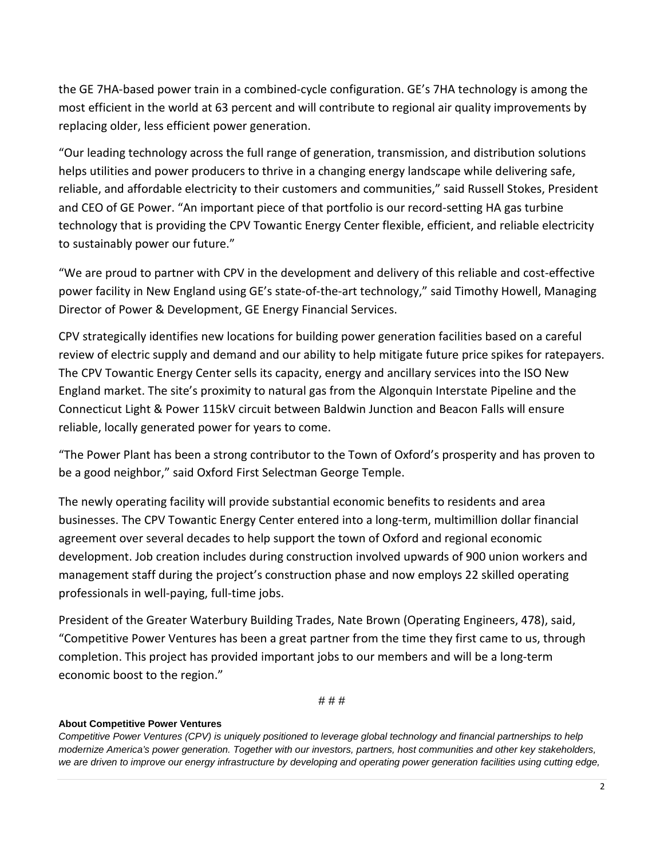the GE 7HA-based power train in a combined-cycle configuration. GE's 7HA technology is among the most efficient in the world at 63 percent and will contribute to regional air quality improvements by replacing older, less efficient power generation.

"Our leading technology across the full range of generation, transmission, and distribution solutions helps utilities and power producers to thrive in a changing energy landscape while delivering safe, reliable, and affordable electricity to their customers and communities," said Russell Stokes, President and CEO of GE Power. "An important piece of that portfolio is our record-setting HA gas turbine technology that is providing the CPV Towantic Energy Center flexible, efficient, and reliable electricity to sustainably power our future."

"We are proud to partner with CPV in the development and delivery of this reliable and cost-effective power facility in New England using GE's state-of-the-art technology," said Timothy Howell, Managing Director of Power & Development, GE Energy Financial Services.

CPV strategically identifies new locations for building power generation facilities based on a careful review of electric supply and demand and our ability to help mitigate future price spikes for ratepayers. The CPV Towantic Energy Center sells its capacity, energy and ancillary services into the ISO New England market. The site's proximity to natural gas from the Algonquin Interstate Pipeline and the Connecticut Light & Power 115kV circuit between Baldwin Junction and Beacon Falls will ensure reliable, locally generated power for years to come.

"The Power Plant has been a strong contributor to the Town of Oxford's prosperity and has proven to be a good neighbor," said Oxford First Selectman George Temple.

The newly operating facility will provide substantial economic benefits to residents and area businesses. The CPV Towantic Energy Center entered into a long-term, multimillion dollar financial agreement over several decades to help support the town of Oxford and regional economic development. Job creation includes during construction involved upwards of 900 union workers and management staff during the project's construction phase and now employs 22 skilled operating professionals in well-paying, full-time jobs.

President of the Greater Waterbury Building Trades, Nate Brown (Operating Engineers, 478), said, "Competitive Power Ventures has been a great partner from the time they first came to us, through completion. This project has provided important jobs to our members and will be a long-term economic boost to the region."

# # #

## **About Competitive Power Ventures**

*Competitive Power Ventures (CPV) is uniquely positioned to leverage global technology and financial partnerships to help modernize America's power generation. Together with our investors, partners, host communities and other key stakeholders, we are driven to improve our energy infrastructure by developing and operating power generation facilities using cutting edge,*